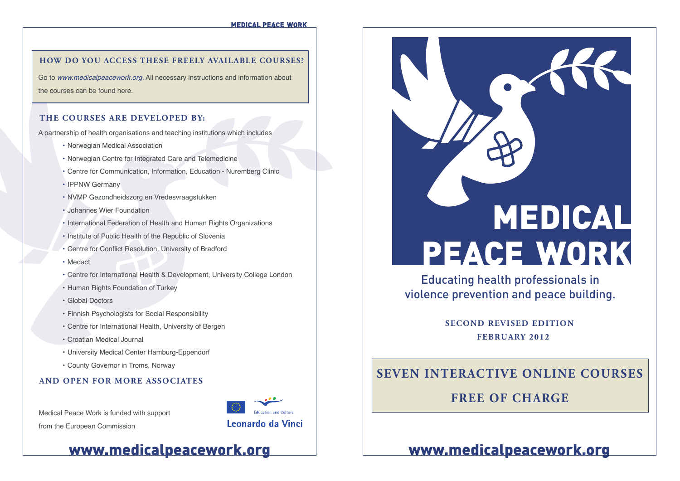**MEDICAL PEACE WORK** 

### **HOW DO YOU ACCESS THESE FREELY AVAILABLE COURSES?**

Go to *www.medicalpeacework.org.* All necessary instructions and information about the courses can be found here.

### **THE COURSES ARE DEVELOPED BY:**

A partnership of health organisations and teaching institutions which includes

- Norwegian Medical Association
- Norwegian Centre for Integrated Care and Telemedicine
- Centre for Communication, Information, Education Nuremberg Clinic
- IPPNW Germany
- NVMP Gezondheidszorg en Vredesvraagstukken
- Johannes Wier Foundation
- International Federation of Health and Human Rights Organizations
- Institute of Public Health of the Republic of Slovenia
- Centre for Conflict Resolution, University of Bradford
- Medact
- Centre for International Health & Development, University College London
- Human Rights Foundation of Turkey
- Global Doctors
- Finnish Psychologists for Social Responsibility
- Centre for International Health, University of Bergen
- Croatian Medical Journal
- University Medical Center Hamburg-Eppendorf
- County Governor in Troms, Norway

### **AND OPEN FOR MORE ASSOCIATES**

Medical Peace Work is funded with support from the European Commission





Educating health professionals in violence prevention and peace building.

> **SECOND REVISED EDITION FEBRUARY 2012**

# **SEVEN INTERACTIVE ONLINE COURSES**

# **FREE OF CHARGE**

www.medicalpeacework.org www.medicalpeacework.org